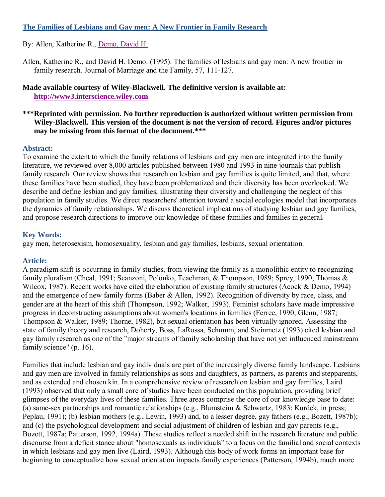# **The Families of Lesbians and Gay men: A New Frontier in Family Research**

By: Allen, Katherine R., [Demo, David H.](http://libres.uncg.edu/ir/uncg/clist.aspx?id=1344)

Allen, Katherine R., and David H. Demo. (1995). The families of lesbians and gay men: A new frontier in family research. Journal of Marriage and the Family, 57, 111-127.

**Made available courtesy of Wiley-Blackwell. The definitive version is available at: [http://www3.interscience.wiley.com](http://www3.interscience.wiley.com/)**

**\*\*\*Reprinted with permission. No further reproduction is authorized without written permission from Wiley-Blackwell. This version of the document is not the version of record. Figures and/or pictures may be missing from this format of the document.\*\*\*** 

#### **Abstract:**

To examine the extent to which the family relations of lesbians and gay men are integrated into the family literature, we reviewed over 8,000 articles published between 1980 and 1993 in nine journals that publish family research. Our review shows that research on lesbian and gay families is quite limited, and that, where these families have been studied, they have been problematized and their diversity has been overlooked. We describe and define lesbian and gay families, illustrating their diversity and challenging the neglect of this population in family studies. We direct researchers' attention toward a social ecologies model that incorporates the dynamics of family relationships. We discuss theoretical implications of studying lesbian and gay families, and propose research directions to improve our knowledge of these families and families in general.

#### **Key Words:**

gay men, heterosexism, homosexuality, lesbian and gay families, lesbians, sexual orientation.

# **Article:**

A paradigm shift is occurring in family studies, from viewing the family as a monolithic entity to recognizing family pluralism (Cheal, 1991; Scanzoni, Polonko, Teachman, & Thompson, 1989; Sprey, 1990; Thomas & Wilcox, 1987). Recent works have cited the elaboration of existing family structures (Acock & Demo, 1994) and the emergence of new family forms (Baber & Allen, 1992). Recognition of diversity by race, class, and gender are at the heart of this shift (Thompson, 1992; Walker, 1993). Feminist scholars have made impressive progress in deconstructing assumptions about women's locations in families (Ferree, 1990; Glenn, 1987; Thompson & Walker, 1989; Thorne, 1982), but sexual orientation has been virtually ignored. Assessing the state of family theory and research, Doherty, Boss, LaRossa, Schumm, and Steinmetz (1993) cited lesbian and gay family research as one of the "major streams of family scholarship that have not yet influenced mainstream family science" (p. 16).

Families that include lesbian and gay individuals are part of the increasingly diverse family landscape. Lesbians and gay men are involved in family relationships as sons and daughters, as partners, as parents and stepparents, and as extended and chosen kin. In a comprehensive review of research on lesbian and gay families, Laird (1993) observed that only a small core of studies have been conducted on this population, providing brief glimpses of the everyday lives of these families. Three areas comprise the core of our knowledge base to date: (a) same-sex partnerships and romantic relationships (e.g., Blumsteim & Schwartz, 1983; Kurdek, in press; Peplau, 1991); (b) lesbian mothers (e.g., Lewin, 1993) and, to a lesser degree, gay fathers (e.g., Bozett, 1987b); and (c) the psychological development and social adjustment of children of lesbian and gay parents (e.g., Bozett, 1987a; Patterson, 1992, 1994a). These studies reflect a needed shift in the research literature and public discourse from a deficit stance about "homosexuals as individuals" to a focus on the familial and social contexts in which lesbians and gay men live (Laird, 1993). Although this body of work forms an important base for beginning to conceptualize how sexual orientation impacts family experiences (Patterson, 1994b), much more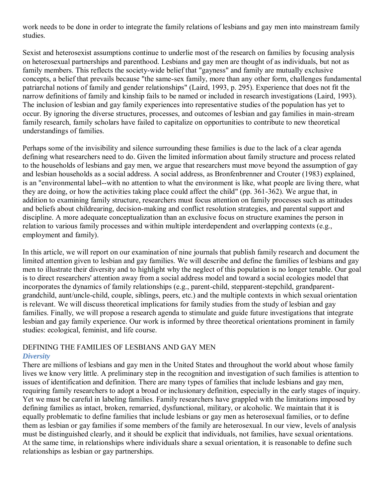work needs to be done in order to integrate the family relations of lesbians and gay men into mainstream family studies.

Sexist and heterosexist assumptions continue to underlie most of the research on families by focusing analysis on heterosexual partnerships and parenthood. Lesbians and gay men are thought of as individuals, but not as family members. This reflects the society-wide belief that "gayness" and family are mutually exclusive concepts, a belief that prevails because "the same-sex family, more than any other form, challenges fundamental patriarchal notions of family and gender relationships" (Laird, 1993, p. 295). Experience that does not fit the narrow definitions of family and kinship fails to be named or included in research investigations (Laird, 1993). The inclusion of lesbian and gay family experiences into representative studies of the population has yet to occur. By ignoring the diverse structures, processes, and outcomes of lesbian and gay families in main-stream family research, family scholars have failed to capitalize on opportunities to contribute to new theoretical understandings of families.

Perhaps some of the invisibility and silence surrounding these families is due to the lack of a clear agenda defining what researchers need to do. Given the limited information about family structure and process related to the households of lesbians and gay men, we argue that researchers must move beyond the assumption of gay and lesbian households as a social address. A social address, as Bronfenbrenner and Crouter (1983) explained, is an "environmental label--with no attention to what the environment is like, what people are living there, what they are doing, or how the activities taking place could affect the child" (pp. 361-362). We argue that, in addition to examining family structure, researchers must focus attention on family processes such as attitudes and beliefs about childrearing, decision-making and conflict resolution strategies, and parental support and discipline. A more adequate conceptualization than an exclusive focus on structure examines the person in relation to various family processes and within multiple interdependent and overlapping contexts (e.g., employment and family).

In this article, we will report on our examination of nine journals that publish family research and document the limited attention given to lesbian and gay families. We will describe and define the families of lesbians and gay men to illustrate their diversity and to highlight why the neglect of this population is no longer tenable. Our goal is to direct researchers' attention away from a social address model and toward a social ecologies model that incorporates the dynamics of family relationships (e.g., parent-child, stepparent-stepchild, grandparentgrandchild, aunt/uncle-child, couple, siblings, peers, etc.) and the multiple contexts in which sexual orientation is relevant. We will discuss theoretical implications for family studies from the study of lesbian and gay families. Finally, we will propose a research agenda to stimulate and guide future investigations that integrate lesbian and gay family experience. Our work is informed by three theoretical orientations prominent in family studies: ecological, feminist, and life course.

#### DEFINING THE FAMILIES OF LESBIANS AND GAY MEN *Diversity*

There are millions of lesbians and gay men in the United States and throughout the world about whose family lives we know very little. A preliminary step in the recognition and investigation of such families is attention to issues of identification and definition. There are many types of families that include lesbians and gay men, requiring family researchers to adopt a broad or inclusionary definition, especially in the early stages of inquiry. Yet we must be careful in labeling families. Family researchers have grappled with the limitations imposed by defining families as intact, broken, remarried, dysfunctional, military, or alcoholic. We maintain that it is equally problematic to define families that include lesbians or gay men as heterosexual families, or to define them as lesbian or gay families if some members of the family are heterosexual. In our view, levels of analysis must be distinguished clearly, and it should be explicit that individuals, not families, have sexual orientations. At the same time, in relationships where individuals share a sexual orientation, it is reasonable to define such relationships as lesbian or gay partnerships.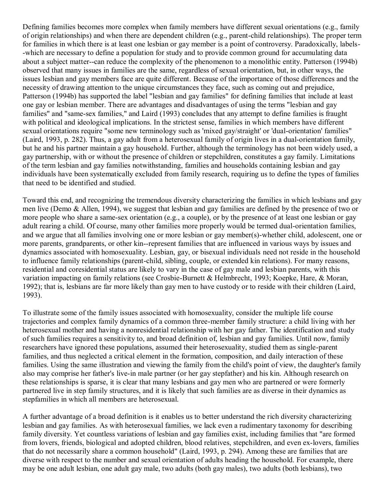Defining families becomes more complex when family members have different sexual orientations (e.g., family of origin relationships) and when there are dependent children (e.g., parent-child relationships). The proper term for families in which there is at least one lesbian or gay member is a point of controversy. Paradoxically, labels- -which are necessary to define a population for study and to provide common ground for accumulating data about a subject matter--can reduce the complexity of the phenomenon to a monolithic entity. Patterson (1994b) observed that many issues in families are the same, regardless of sexual orientation, but, in other ways, the issues lesbian and gay members face are quite different. Because of the importance of those differences and the necessity of drawing attention to the unique circumstances they face, such as coming out and prejudice, Patterson (1994b) has supported the label "lesbian and gay families" for defining families that include at least one gay or lesbian member. There are advantages and disadvantages of using the terms "lesbian and gay families" and "same-sex families," and Laird (1993) concludes that any attempt to define families is fraught with political and ideological implications. In the strictest sense, families in which members have different sexual orientations require "some new terminology such as 'mixed gay/straight' or 'dual-orientation' families" (Laird, 1993, p. 282). Thus, a gay adult from a heterosexual family of origin lives in a dual-orientation family, but he and his partner maintain a gay household. Further, although the terminology has not been widely used, a gay partnership, with or without the presence of children or stepchildren, constitutes a gay family. Limitations of the term lesbian and gay families notwithstanding, families and households containing lesbian and gay individuals have been systematically excluded from family research, requiring us to define the types of families that need to be identified and studied.

Toward this end, and recognizing the tremendous diversity characterizing the families in which lesbians and gay men live (Demo & Allen, 1994), we suggest that lesbian and gay families are defined by the presence of two or more people who share a same-sex orientation (e.g., a couple), or by the presence of at least one lesbian or gay adult rearing a child. Of course, many other families more properly would be termed dual-orientation families, and we argue that all families involving one or more lesbian or gay member(s)-whether child, adolescent, one or more parents, grandparents, or other kin--represent families that are influenced in various ways by issues and dynamics associated with homosexuality. Lesbian, gay, or bisexual individuals need not reside in the household to influence family relationships (parent-child, sibling, couple, or extended kin relations). For many reasons, residential and coresidential status are likely to vary in the case of gay male and lesbian parents, with this variation impacting on family relations (see Crosbie-Burnett & Helmbrecht, 1993; Koepke, Hare, & Moran, 1992); that is, lesbians are far more likely than gay men to have custody or to reside with their children (Laird, 1993).

To illustrate some of the family issues associated with homosexuality, consider the multiple life course trajectories and complex family dynamics of a common three-member family structure: a child living with her heterosexual mother and having a nonresidential relationship with her gay father. The identification and study of such families requires a sensitivity to, and broad definition of, lesbian and gay families. Until now, family researchers have ignored these populations, assumed their heterosexuality, studied them as single-parent families, and thus neglected a critical element in the formation, composition, and daily interaction of these families. Using the same illustration and viewing the family from the child's point of view, the daughter's family also may comprise her father's live-in male partner (or her gay stepfather) and his kin. Although research on these relationships is sparse, it is clear that many lesbians and gay men who are partnered or were formerly partnered live in step family structures, and it is likely that such families are as diverse in their dynamics as stepfamilies in which all members are heterosexual.

A further advantage of a broad definition is it enables us to better understand the rich diversity characterizing lesbian and gay families. As with heterosexual families, we lack even a rudimentary taxonomy for describing family diversity. Yet countless variations of lesbian and gay families exist, including families that "are formed from lovers, friends, biological and adopted children, blood relatives, stepchildren, and even ex-lovers, families that do not necessarily share a common household" (Laird, 1993, p. 294). Among these are families that are diverse with respect to the number and sexual orientation of adults heading the household. For example, there may be one adult lesbian, one adult gay male, two adults (both gay males), two adults (both lesbians), two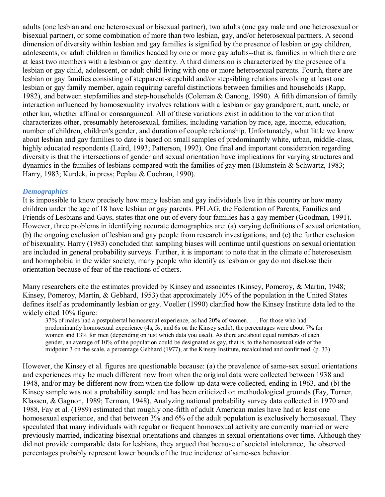adults (one lesbian and one heterosexual or bisexual partner), two adults (one gay male and one heterosexual or bisexual partner), or some combination of more than two lesbian, gay, and/or heterosexual partners. A second dimension of diversity within lesbian and gay families is signified by the presence of lesbian or gay children, adolescents, or adult children in families headed by one or more gay adults--that is, families in which there are at least two members with a lesbian or gay identity. A third dimension is characterized by the presence of a lesbian or gay child, adolescent, or adult child living with one or more heterosexual parents. Fourth, there are lesbian or gay families consisting of stepparent-stepchild and/or stepsibling relations involving at least one lesbian or gay family member, again requiring careful distinctions between families and households (Rapp, 1982), and between stepfamilies and step-households (Coleman & Ganong, 1990). A fifth dimension of family interaction influenced by homosexuality involves relations with a lesbian or gay grandparent, aunt, uncle, or other kin, whether affinal or consanguineal. All of these variations exist in addition to the variation that characterizes other, presumably heterosexual, families, including variation by race, age, income, education, number of children, children's gender, and duration of couple relationship. Unfortunately, what little we know about lesbian and gay families to date is based on small samples of predominantly white, urban, middle-class, highly educated respondents (Laird, 1993; Patterson, 1992). One final and important consideration regarding diversity is that the intersections of gender and sexual orientation have implications for varying structures and dynamics in the families of lesbians compared with the families of gay men (Blumstein & Schwartz, 1983; Harry, 1983; Kurdek, in press; Peplau & Cochran, 1990).

#### *Demographics*

It is impossible to know precisely how many lesbian and gay individuals live in this country or how many children under the age of 18 have lesbian or gay parents. PFLAG, the Federation of Parents, Families and Friends of Lesbians and Gays, states that one out of every four families has a gay member (Goodman, 1991). However, three problems in identifying accurate demographics are: (a) varying definitions of sexual orientation, (b) the ongoing exclusion of lesbian and gay people from research investigations, and (c) the further exclusion of bisexuality. Harry (1983) concluded that sampling biases will continue until questions on sexual orientation are included in general probability surveys. Further, it is important to note that in the climate of heterosexism and homophobia in the wider society, many people who identify as lesbian or gay do not disclose their orientation because of fear of the reactions of others.

Many researchers cite the estimates provided by Kinsey and associates (Kinsey, Pomeroy, & Martin, 1948; Kinsey, Pomeroy, Martin, & Gebhard, 1953) that approximately 10% of the population in the United States defines itself as predominantly lesbian or gay. Voeller (1990) clarified how the Kinsey Institute data led to the widely cited 10% figure:

37% of males had a postpubertal homosexual experience, as had 20% of women. . . . For those who had predominantly homosexual experience (4s, 5s, and 6s on the Kinsey scale), the percentages were about 7% for women and 13% for men (depending on just which data you used). As there are about equal numbers of each gender, an average of 10% of the population could be designated as gay, that is, to the homosexual side of the midpoint 3 on the scale, a percentage Gebhard (1977), at the Kinsey Institute, recalculated and confirmed. (p. 33)

However, the Kinsey et al. figures are questionable because: (a) the prevalence of same-sex sexual orientations and experiences may be much different now from when the original data were collected between 1938 and 1948, and/or may be different now from when the follow-up data were collected, ending in 1963, and (b) the Kinsey sample was not a probability sample and has been criticized on methodological grounds (Fay, Turner, Klassen, & Gagnon, 1989; Terman, 1948). Analyzing national probability survey data collected in 1970 and 1988, Fay et al. (1989) estimated that roughly one-fifth of adult American males have had at least one homosexual experience, and that between 3% and 6% of the adult population is exclusively homosexual. They speculated that many individuals with regular or frequent homosexual activity are currently married or were previously married, indicating bisexual orientations and changes in sexual orientations over time. Although they did not provide comparable data for lesbians, they argued that because of societal intolerance, the observed percentages probably represent lower bounds of the true incidence of same-sex behavior.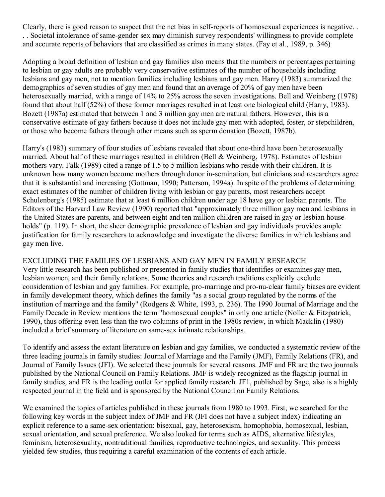Clearly, there is good reason to suspect that the net bias in self-reports of homosexual experiences is negative. . . . Societal intolerance of same-gender sex may diminish survey respondents' willingness to provide complete and accurate reports of behaviors that are classified as crimes in many states. (Fay et al., 1989, p. 346)

Adopting a broad definition of lesbian and gay families also means that the numbers or percentages pertaining to lesbian or gay adults are probably very conservative estimates of the number of households including lesbians and gay men, not to mention families including lesbians and gay men. Harry (1983) summarized the demographics of seven studies of gay men and found that an average of 20% of gay men have been heterosexually married, with a range of 14% to 25% across the seven investigations. Bell and Weinberg (1978) found that about half (52%) of these former marriages resulted in at least one biological child (Harry, 1983). Bozett (1987a) estimated that between 1 and 3 million gay men are natural fathers. However, this is a conservative estimate of gay fathers because it does not include gay men with adopted, foster, or stepchildren, or those who become fathers through other means such as sperm donation (Bozett, 1987b).

Harry's (1983) summary of four studies of lesbians revealed that about one-third have been heterosexually married. About half of these marriages resulted in children (Bell & Weinberg, 1978). Estimates of lesbian mothers vary. Falk (1989) cited a range of 1.5 to 5 million lesbians who reside with their children. It is unknown how many women become mothers through donor in-semination, but clinicians and researchers agree that it is substantial and increasing (Gottman, 1990; Patterson, 1994a). In spite of the problems of determining exact estimates of the number of children living with lesbian or gay parents, most researchers accept Schulenberg's (1985) estimate that at least 6 million children under age 18 have gay or lesbian parents. The Editors of the Harvard Law Review (1990) reported that "approximately three million gay men and lesbians in the United States are parents, and between eight and ten million children are raised in gay or lesbian households" (p. 119). In short, the sheer demographic prevalence of lesbian and gay individuals provides ample justification for family researchers to acknowledge and investigate the diverse families in which lesbians and gay men live.

# EXCLUDING THE FAMILIES OF LESBIANS AND GAY MEN IN FAMILY RESEARCH

Very little research has been published or presented in family studies that identifies or examines gay men, lesbian women, and their family relations. Some theories and research traditions explicitly exclude consideration of lesbian and gay families. For example, pro-marriage and pro-nu-clear family biases are evident in family development theory, which defines the family "as a social group regulated by the norms of the institution of marriage and the family" (Rodgers & White, 1993, p. 236). The 1990 Journal of Marriage and the Family Decade in Review mentions the term "homosexual couples" in only one article (Noller & Fitzpatrick, 1990), thus offering even less than the two columns of print in the 1980s review, in which Macklin (1980) included a brief summary of literature on same-sex intimate relationships.

To identify and assess the extant literature on lesbian and gay families, we conducted a systematic review of the three leading journals in family studies: Journal of Marriage and the Family (JMF), Family Relations (FR), and Journal of Family Issues (JFI). We selected these journals for several reasons. JMF and FR are the two journals published by the National Council on Family Relations. JMF is widely recognized as the flagship journal in family studies, and FR is the leading outlet for applied family research. JF1, published by Sage, also is a highly respected journal in the field and is sponsored by the National Council on Family Relations.

We examined the topics of articles published in these journals from 1980 to 1993. First, we searched for the following key words in the subject index of JMF and FR (JFI does not have a subject index) indicating an explicit reference to a same-sex orientation: bisexual, gay, heterosexism, homophobia, homosexual, lesbian, sexual orientation, and sexual preference. We also looked for terms such as AIDS, alternative lifestyles, feminism, heterosexuality, nontraditional families, reproductive technologies, and sexuality. This process yielded few studies, thus requiring a careful examination of the contents of each article.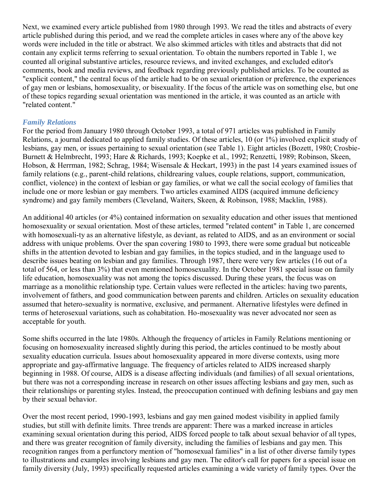Next, we examined every article published from 1980 through 1993. We read the titles and abstracts of every article published during this period, and we read the complete articles in cases where any of the above key words were included in the title or abstract. We also skimmed articles with titles and abstracts that did not contain any explicit terms referring to sexual orientation. To obtain the numbers reported in Table 1, we counted all original substantive articles, resource reviews, and invited exchanges, and excluded editor's comments, book and media reviews, and feedback regarding previously published articles. To be counted as "explicit content," the central focus of the article had to be on sexual orientation or preference, the experiences of gay men or lesbians, homosexuality, or bisexuality. If the focus of the article was on something else, but one of these topics regarding sexual orientation was mentioned in the article, it was counted as an article with "related content."

#### *Family Relations*

For the period from January 1980 through October 1993, a total of 971 articles was published in Family Relations, a journal dedicated to applied family studies. Of these articles, 10 (or 1%) involved explicit study of lesbians, gay men, or issues pertaining to sexual orientation (see Table 1). Eight articles (Bozett, 1980; Crosbie-Burnett & Helmbrecht, 1993; Hare & Richards, 1993; Koepke et al., 1992; Renzetti, 1989; Robinson, Skeen, Hobson, & Herrman, 1982; Schrag, 1984; Wisensale & Heckart, 1993) in the past 14 years examined issues of family relations (e.g., parent-child relations, childrearing values, couple relations, support, communication, conflict, violence) in the context of lesbian or gay families, or what we call the social ecology of families that include one or more lesbian or gay members. Two articles examined AIDS (acquired immune deficiency syndrome) and gay family members (Cleveland, Waiters, Skeen, & Robinson, 1988; Macklin, 1988).

An additional 40 articles (or 4%) contained information on sexuality education and other issues that mentioned homosexuality or sexual orientation. Most of these articles, termed "related content" in Table 1, are concerned with homosexuali-ty as an alternative lifestyle, as deviant, as related to AIDS, and as an environment or social address with unique problems. Over the span covering 1980 to 1993, there were some gradual but noticeable shifts in the attention devoted to lesbian and gay families, in the topics studied, and in the language used to describe issues beating on lesbian and gay families. Through 1987, there were very few articles (16 out of a total of 564, or less than 3%) that even mentioned homosexuality. In the October 1981 special issue on family life education, homosexuality was not among the topics discussed. During these years, the focus was on marriage as a monolithic relationship type. Certain values were reflected in the articles: having two parents, involvement of fathers, and good communication between parents and children. Articles on sexuality education assumed that hetero-sexuality is normative, exclusive, and permanent. Alternative lifestyles were defined in terms of heterosexual variations, such as cohabitation. Ho-mosexuality was never advocated nor seen as acceptable for youth.

Some shifts occurred in the late 1980s. Although the frequency of articles in Family Relations mentioning or focusing on homosexuality increased slightly during this period, the articles continued to be mostly about sexuality education curricula. Issues about homosexuality appeared in more diverse contexts, using more appropriate and gay-affirmative language. The frequency of articles related to AIDS increased sharply beginning in 1988. Of course, AIDS is a disease affecting individuals (and families) of all sexual orientations, but there was not a corresponding increase in research on other issues affecting lesbians and gay men, such as their relationships or parenting styles. Instead, the preoccupation continued with defining lesbians and gay men by their sexual behavior.

Over the most recent period, 1990-1993, lesbians and gay men gained modest visibility in applied family studies, but still with definite limits. Three trends are apparent: There was a marked increase in articles examining sexual orientation during this period, AIDS forced people to talk about sexual behavior of all types, and there was greater recognition of family diversity, including the families of lesbians and gay men. This recognition ranges from a perfunctory mention of "homosexual families" in a list of other diverse family types to illustrations and examples involving lesbians and gay men. The editor's call for papers for a special issue on family diversity (July, 1993) specifically requested articles examining a wide variety of family types. Over the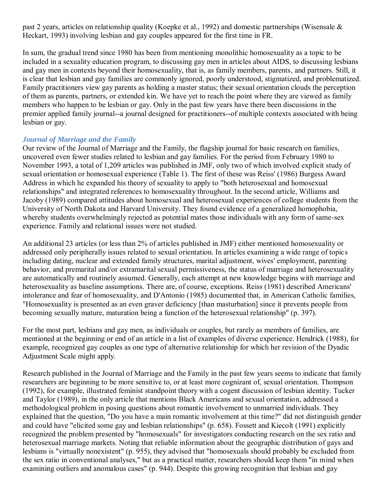past 2 years, articles on relationship quality (Koepke et al., 1992) and domestic partnerships (Wisensale & Heckart, 1993) involving lesbian and gay couples appeared for the first time in FR.

In sum, the gradual trend since 1980 has been from mentioning monolithic homosexuality as a topic to be included in a sexuality education program, to discussing gay men in articles about AIDS, to discussing lesbians and gay men in contexts beyond their homosexuality, that is, as family members, parents, and partners. Still, it is clear that lesbian and gay families are commonly ignored, poorly understood, stigmatized, and problematized. Family practitioners view gay parents as holding a master status; their sexual orientation clouds the perception of them as parents, partners, or extended kin. We have yet to reach the point where they are viewed as family members who happen to be lesbian or gay. Only in the past few years have there been discussions in the premier applied family journal--a journal designed for practitioners--of multiple contexts associated with being lesbian or gay.

# *Journal of Marriage and the Family*

Our review of the Journal of Marriage and the Family, the flagship journal for basic research on families, uncovered even fewer studies related to lesbian and gay families. For the period from February 1980 to November 1993, a total of 1,209 articles was published in JMF, only two of which involved explicit study of sexual orientation or homosexual experience (Table 1). The first of these was Reiss' (1986) Burgess Award Address in which he expanded his theory of sexuality to apply to "both heterosexual and homosexual relationships" and integrated references to homosexuality throughout. In the second article, Williams and Jacoby (1989) compared attitudes about homosexual and heterosexual experiences of college students from the University of North Dakota and Harvard University. They found evidence of a generalized homophobia, whereby students overwhelmingly rejected as potential mates those individuals with any form of same-sex experience. Family and relational issues were not studied.

An additional 23 articles (or less than 2% of articles published in JMF) either mentioned homosexuality or addressed only peripherally issues related to sexual orientation. In articles examining a wide range of topics including dating, nuclear and extended family structures, marital adjustment, wives' employment, parenting behavior, and premarital and/or extramarital sexual permissiveness, the status of marriage and heterosexuality are automatically and routinely assumed. Generally, each attempt at new knowledge begins with marriage and heterosexuality as baseline assumptions. There are, of course, exceptions. Reiss (1981) described Americans' intolerance and fear of homosexuality, and D'Antonio (1985) documented that, in American Catholic families, "Homosexuality is presented as an even graver deficiency [than masturbation] since it prevents people from becoming sexually mature, maturation being a function of the heterosexual relationship" (p. 397).

For the most part, lesbians and gay men, as individuals or couples, but rarely as members of families, are mentioned at the beginning or end of an article in a list of examples of diverse experience. Hendrick (1988), for example, recognized gay couples as one type of alternative relationship for which her revision of the Dyadic Adjustment Scale might apply.

Research published in the Journal of Marriage and the Family in the past few years seems to indicate that family researchers are beginning to be more sensitive to, or at least more cognizant of, sexual orientation. Thompson (1992), for example, illustrated feminist standpoint theory with a cogent discussion of lesbian identity. Tucker and Taylor (1989), in the only article that mentions Black Americans and sexual orientation, addressed a methodological problem in posing questions about romantic involvement to unmarried individuals. They explained that the question, "Do you have a main romantic involvement at this time?" did not distinguish gender and could have "elicited some gay and lesbian relationships" (p. 658). Fossett and Kiecolt (1991) explicitly recognized the problem presented by "homosexuals" for investigators conducting research on the sex ratio and heterosexual marriage markets. Noting that reliable information about the geographic distribution of gays and lesbians is "virtually nonexistent" (p. 955), they advised that "homosexuals should probably be excluded from the sex ratio in conventional analyses," but as a practical matter, researchers should keep them "in mind when examining outliers and anomalous cases" (p. 944). Despite this growing recognition that lesbian and gay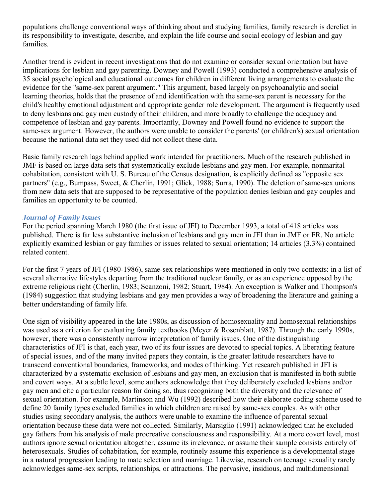populations challenge conventional ways of thinking about and studying families, family research is derelict in its responsibility to investigate, describe, and explain the life course and social ecology of lesbian and gay families.

Another trend is evident in recent investigations that do not examine or consider sexual orientation but have implications for lesbian and gay parenting. Downey and Powell (1993) conducted a comprehensive analysis of 35 social psychological and educational outcomes for children in different living arrangements to evaluate the evidence for the "same-sex parent argument." This argument, based largely on psychoanalytic and social learning theories, holds that the presence of and identification with the same-sex parent is necessary for the child's healthy emotional adjustment and appropriate gender role development. The argument is frequently used to deny lesbians and gay men custody of their children, and more broadly to challenge the adequacy and competence of lesbian and gay parents. Importantly, Downey and Powell found no evidence to support the same-sex argument. However, the authors were unable to consider the parents' (or children's) sexual orientation because the national data set they used did not collect these data.

Basic family research lags behind applied work intended for practitioners. Much of the research published in JMF is based on large data sets that systematically exclude lesbians and gay men. For example, nonmarital cohabitation, consistent with U. S. Bureau of the Census designation, is explicitly defined as "opposite sex partners" (e.g., Bumpass, Sweet, & Cherlin, 1991; Glick, 1988; Surra, 1990). The deletion of same-sex unions from new data sets that are supposed to be representative of the population denies lesbian and gay couples and families an opportunity to be counted.

#### *Journal of Family Issues*

For the period spanning March 1980 (the first issue of JFI) to December 1993, a total of 418 articles was published. There is far less substantive inclusion of lesbians and gay men in JFI than in JMF or FR. No article explicitly examined lesbian or gay families or issues related to sexual orientation; 14 articles (3.3%) contained related content.

For the first 7 years of JFI (1980-1986), same-sex relationships were mentioned in only two contexts: in a list of several alternative lifestyles departing from the traditional nuclear family, or as an experience opposed by the extreme religious right (Cherlin, 1983; Scanzoni, 1982; Stuart, 1984). An exception is Walker and Thompson's (1984) suggestion that studying lesbians and gay men provides a way of broadening the literature and gaining a better understanding of family life.

One sign of visibility appeared in the late 1980s, as discussion of homosexuality and homosexual relationships was used as a criterion for evaluating family textbooks (Meyer & Rosenblatt, 1987). Through the early 1990s, however, there was a consistently narrow interpretation of family issues. One of the distinguishing characteristics of JFI is that, each year, two of its four issues are devoted to special topics. A liberating feature of special issues, and of the many invited papers they contain, is the greater latitude researchers have to transcend conventional boundaries, frameworks, and modes of thinking. Yet research published in JFI is characterized by a systematic exclusion of lesbians and gay men, an exclusion that is manifested in both subtle and covert ways. At a subtle level, some authors acknowledge that they deliberately excluded lesbians and/or gay men and cite a particular reason for doing so, thus recognizing both the diversity and the relevance of sexual orientation. For example, Martinson and Wu (1992) described how their elaborate coding scheme used to define 20 family types excluded families in which children are raised by same-sex couples. As with other studies using secondary analysis, the authors were unable to examine the influence of parental sexual orientation because these data were not collected. Similarly, Marsiglio (1991) acknowledged that he excluded gay fathers from his analysis of male procreative consciousness and responsibility. At a more covert level, most authors ignore sexual orientation altogether, assume its irrelevance, or assume their sample consists entirely of heterosexuals. Studies of cohabitation, for example, routinely assume this experience is a developmental stage in a natural progression leading to mate selection and marriage. Likewise, research on teenage sexuality rarely acknowledges same-sex scripts, relationships, or attractions. The pervasive, insidious, and multidimensional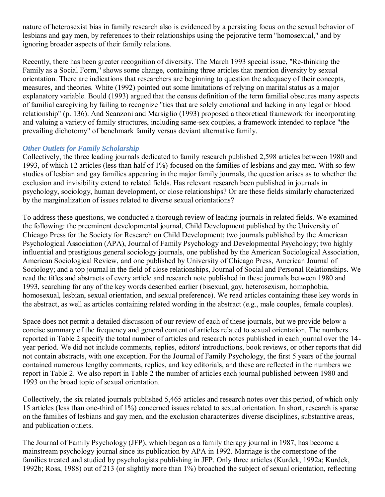nature of heterosexist bias in family research also is evidenced by a persisting focus on the sexual behavior of lesbians and gay men, by references to their relationships using the pejorative term "homosexual," and by ignoring broader aspects of their family relations.

Recently, there has been greater recognition of diversity. The March 1993 special issue, "Re-thinking the Family as a Social Form," shows some change, containing three articles that mention diversity by sexual orientation. There are indications that researchers are beginning to question the adequacy of their concepts, measures, and theories. White (1992) pointed out some limitations of relying on marital status as a major explanatory variable. Bould (1993) argued that the census definition of the term familial obscures many aspects of familial caregiving by failing to recognize "ties that are solely emotional and lacking in any legal or blood relationship" (p. 136). And Scanzoni and Marsiglio (1993) proposed a theoretical framework for incorporating and valuing a variety of family structures, including same-sex couples, a framework intended to replace "the prevailing dichotomy" of benchmark family versus deviant alternative family.

# *Other Outlets for Family Scholarship*

Collectively, the three leading journals dedicated to family research published 2,598 articles between 1980 and 1993, of which 12 articles (less than half of 1%) focused on the families of lesbians and gay men. With so few studies of lesbian and gay families appearing in the major family journals, the question arises as to whether the exclusion and invisibility extend to related fields. Has relevant research been published in journals in psychology, sociology, human development, or close relationships? Or are these fields similarly characterized by the marginalization of issues related to diverse sexual orientations?

To address these questions, we conducted a thorough review of leading journals in related fields. We examined the following: the preeminent developmental journal, Child Development published by the University of Chicago Press for the Society for Research on Child Development; two journals published by the American Psychological Association (APA), Journal of Family Psychology and Developmental Psychology; two highly influential and prestigious general sociology journals, one published by the American Sociological Association, American Sociological Review, and one published by University of Chicago Press, American Journal of Sociology; and a top journal in the field of close relationships, Journal of Social and Personal Relationships. We read the titles and abstracts of every article and research note published in these journals between 1980 and 1993, searching for any of the key words described earlier (bisexual, gay, heterosexism, homophobia, homosexual, lesbian, sexual orientation, and sexual preference). We read articles containing these key words in the abstract, as well as articles containing related wording in the abstract (e.g., male couples, female couples).

Space does not permit a detailed discussion of our review of each of these journals, but we provide below a concise summary of the frequency and general content of articles related to sexual orientation. The numbers reported in Table 2 specify the total number of articles and research notes published in each journal over the 14 year period. We did not include comments, replies, editors' introductions, book reviews, or other reports that did not contain abstracts, with one exception. For the Journal of Family Psychology, the first 5 years of the journal contained numerous lengthy comments, replies, and key editorials, and these are reflected in the numbers we report in Table 2. We also report in Table 2 the number of articles each journal published between 1980 and 1993 on the broad topic of sexual orientation.

Collectively, the six related journals published 5,465 articles and research notes over this period, of which only 15 articles (less than one-third of 1%) concerned issues related to sexual orientation. In short, research is sparse on the families of lesbians and gay men, and the exclusion characterizes diverse disciplines, substantive areas, and publication outlets.

The Journal of Family Psychology (JFP), which began as a family therapy journal in 1987, has become a mainstream psychology journal since its publication by APA in 1992. Marriage is the cornerstone of the families treated and studied by psychologists publishing in JFP. Only three articles (Kurdek, 1992a; Kurdek, 1992b; Ross, 1988) out of 213 (or slightly more than 1%) broached the subject of sexual orientation, reflecting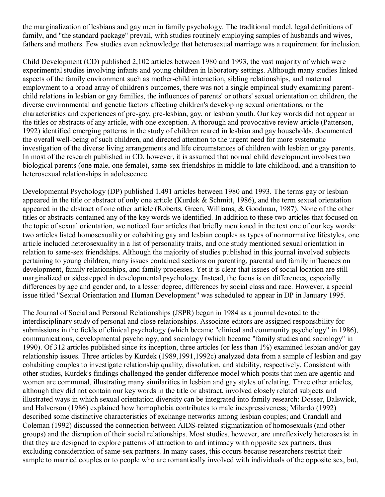the marginalization of lesbians and gay men in family psychology. The traditional model, legal definitions of family, and "the standard package" prevail, with studies routinely employing samples of husbands and wives, fathers and mothers. Few studies even acknowledge that heterosexual marriage was a requirement for inclusion.

Child Development (CD) published 2,102 articles between 1980 and 1993, the vast majority of which were experimental studies involving infants and young children in laboratory settings. Although many studies linked aspects of the family environment such as mother-child interaction, sibling relationships, and maternal employment to a broad array of children's outcomes, there was not a single empirical study examining parentchild relations in lesbian or gay families, the influences of parents' or others' sexual orientation on children, the diverse environmental and genetic factors affecting children's developing sexual orientations, or the characteristics and experiences of pre-gay, pre-lesbian, gay, or lesbian youth. Our key words did not appear in the titles or abstracts of any article, with one exception. A thorough and provocative review article (Patterson, 1992) identified emerging patterns in the study of children reared in lesbian and gay households, documented the overall well-being of such children, and directed attention to the urgent need for more systematic investigation of the diverse living arrangements and life circumstances of children with lesbian or gay parents. In most of the research published in CD, however, it is assumed that normal child development involves two biological parents (one male, one female), same-sex friendships in middle to late childhood, and a transition to heterosexual relationships in adolescence.

Developmental Psychology (DP) published 1,491 articles between 1980 and 1993. The terms gay or lesbian appeared in the title or abstract of only one article (Kurdek & Schmitt, 1986), and the term sexual orientation appeared in the abstract of one other article (Roberts, Green, Williams, & Goodman, 1987). None of the other titles or abstracts contained any of the key words we identified. In addition to these two articles that focused on the topic of sexual orientation, we noticed four articles that briefly mentioned in the text one of our key words: two articles listed homosexuality or cohabiting gay and lesbian couples as types of nonnormative lifestyles, one article included heterosexuality in a list of personality traits, and one study mentioned sexual orientation in relation to same-sex friendships. Although the majority of studies published in this journal involved subjects pertaining to young children, many issues contained sections on parenting, parental and family influences on development, family relationships, and family processes. Yet it is clear that issues of social location are still marginalized or sidestepped in developmental psychology. Instead, the focus is on differences, especially differences by age and gender and, to a lesser degree, differences by social class and race. However, a special issue titled "Sexual Orientation and Human Development" was scheduled to appear in DP in January 1995.

The Journal of Social and Personal Relationships (JSPR) began in 1984 as a journal devoted to the interdisciplinary study of personal and close relationships. Associate editors are assigned responsibility for submissions in the fields of clinical psychology (which became "clinical and community psychology" in 1986), communications, developmental psychology, and sociology (which became "family studies and sociology" in 1990). Of 312 articles published since its inception, three articles (or less than 1%) examined lesbian and/or gay relationship issues. Three articles by Kurdek (1989,1991,1992c) analyzed data from a sample of lesbian and gay cohabiting couples to investigate relationship quality, dissolution, and stability, respectively. Consistent with other studies, Kurdek's findings challenged the gender difference model which posits that men are agentic and women are communal, illustrating many similarities in lesbian and gay styles of relating. Three other articles, although they did not contain our key words in the title or abstract, involved closely related subjects and illustrated ways in which sexual orientation diversity can be integrated into family research: Dosser, Balswick, and Halverson (1986) explained how homophobia contributes to male inexpressiveness; Milardo (1992) described some distinctive characteristics of exchange networks among lesbian couples; and Crandall and Coleman (1992) discussed the connection between AIDS-related stigmatization of homosexuals (and other groups) and the disruption of their social relationships. Most studies, however, are unreflexively heterosexist in that they are designed to explore patterns of attraction to and intimacy with opposite sex partners, thus excluding consideration of same-sex partners. In many cases, this occurs because researchers restrict their sample to married couples or to people who are romantically involved with individuals of the opposite sex, but,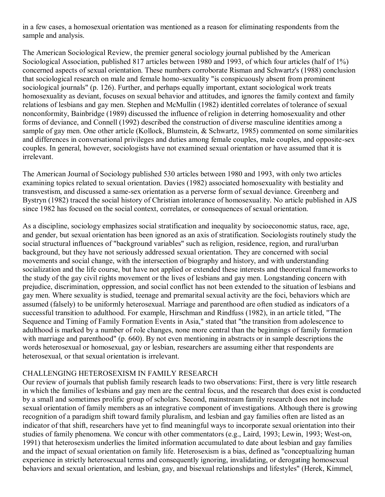in a few cases, a homosexual orientation was mentioned as a reason for eliminating respondents from the sample and analysis.

The American Sociological Review, the premier general sociology journal published by the American Sociological Association, published 817 articles between 1980 and 1993, of which four articles (half of 1%) concerned aspects of sexual orientation. These numbers corroborate Risman and Schwartz's (1988) conclusion that sociological research on male and female homo-sexuality "is conspicuously absent from prominent sociological journals" (p. 126). Further, and perhaps equally important, extant sociological work treats homosexuality as deviant, focuses on sexual behavior and attitudes, and ignores the family context and family relations of lesbians and gay men. Stephen and McMullin (1982) identitled correlates of tolerance of sexual nonconformity, Bainbridge (1989) discussed the influence of religion in deterring homosexuality and other forms of deviance, and Connell (1992) described the construction of diverse masculine identities among a sample of gay men. One other article (Kollock, Blumstein, & Schwartz, 1985) commented on some similarities and differences in conversational privileges and duties among female couples, male couples, and opposite-sex couples. In general, however, sociologists have not examined sexual orientation or have assumed that it is irrelevant.

The American Journal of Sociology published 530 articles between 1980 and 1993, with only two articles examining topics related to sexual orientation. Davies (1982) associated homosexuality with bestiality and transvestism, and discussed a same-sex orientation as a perverse form of sexual deviance. Greenberg and Bystryn (1982) traced the social history of Christian intolerance of homosexuality. No article published in AJS since 1982 has focused on the social context, correlates, or consequences of sexual orientation.

As a discipline, sociology emphasizes social stratification and inequality by socioeconomic status, race, age, and gender, but sexual orientation has been ignored as an axis of stratification. Sociologists routinely study the social structural influences of "background variables" such as religion, residence, region, and rural/urban background, but they have not seriously addressed sexual orientation. They are concerned with social movements and social change, with the intersection of biography and history, and with understanding socialization and the life course, but have not applied or extended these interests and theoretical frameworks to the study of the gay civil rights movement or the lives of lesbians and gay men. Longstanding concern with prejudice, discrimination, oppression, and social conflict has not been extended to the situation of lesbians and gay men. Where sexuality is studied, teenage and premarital sexual activity are the foci, behaviors which are assumed (falsely) to be uniformly heterosexual. Marriage and parenthood are often studied as indicators of a successful transition to adulthood. For example, Hirschman and Rindfuss (1982), in an article titled, "The Sequence and Timing of Family Formation Events in Asia," stated that "the transition from adolescence to adulthood is marked by a number of role changes, none more central than the beginnings of family formation with marriage and parenthood" (p. 660). By not even mentioning in abstracts or in sample descriptions the words heterosexual or homosexual, gay or lesbian, researchers are assuming either that respondents are heterosexual, or that sexual orientation is irrelevant.

# CHALLENGING HETEROSEXISM IN FAMILY RESEARCH

Our review of journals that publish family research leads to two observations: First, there is very little research in which the families of lesbians and gay men are the central focus, and the research that does exist is conducted by a small and sometimes prolific group of scholars. Second, mainstream family research does not include sexual orientation of family members as an integrative component of investigations. Although there is growing recognition of a paradigm shift toward family pluralism, and lesbian and gay families often are listed as an indicator of that shift, researchers have yet to find meaningful ways to incorporate sexual orientation into their studies of family phenomena. We concur with other commentators (e.g., Laird, 1993; Lewin, 1993; West-on, 1991) that heterosexism underlies the limited information accumulated to date about lesbian and gay families and the impact of sexual orientation on family life. Heterosexism is a bias, defined as "conceptualizing human experience in strictly heterosexual terms and consequently ignoring, invalidating, or derogating homosexual behaviors and sexual orientation, and lesbian, gay, and bisexual relationships and lifestyles" (Herek, Kimmel,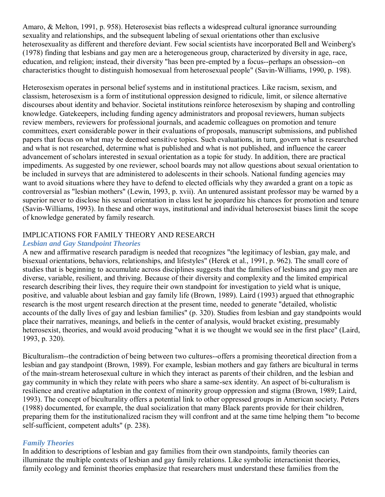Amaro, & Melton, 1991, p. 958). Heterosexist bias reflects a widespread cultural ignorance surrounding sexuality and relationships, and the subsequent labeling of sexual orientations other than exclusive heterosexuality as different and therefore deviant. Few social scientists have incorporated Bell and Weinberg's (1978) finding that lesbians and gay men are a heterogeneous group, characterized by diversity in age, race, education, and religion; instead, their diversity "has been pre-empted by a focus--perhaps an obsession--on characteristics thought to distinguish homosexual from heterosexual people" (Savin-Williams, 1990, p. 198).

Heterosexism operates in personal belief systems and in institutional practices. Like racism, sexism, and classism, heterosexism is a form of institutional oppression designed to ridicule, limit, or silence alternative discourses about identity and behavior. Societal institutions reinforce heterosexism by shaping and controlling knowledge. Gatekeepers, including funding agency administrators and proposal reviewers, human subjects review members, reviewers for professional journals, and academic colleagues on promotion and tenure committees, exert considerable power in their evaluations of proposals, manuscript submissions, and published papers that focus on what may be deemed sensitive topics. Such evaluations, in turn, govern what is researched and what is not researched, determine what is published and what is not published, and influence the career advancement of scholars interested in sexual orientation as a topic for study. In addition, there are practical impediments. As suggested by one reviewer, school boards may not allow questions about sexual orientation to be included in surveys that are administered to adolescents in their schools. National funding agencies may want to avoid situations where they have to defend to elected officials why they awarded a grant on a topic as controversial as "lesbian mothers" (Lewin, 1993, p. xvii). An untenured assistant professor may be warned by a superior never to disclose his sexual orientation in class lest he jeopardize his chances for promotion and tenure (Savin-Williams, 1993). In these and other ways, institutional and individual heterosexist biases limit the scope of knowledge generated by family research.

# IMPLICATIONS FOR FAMILY THEORY AND RESEARCH

# *Lesbian and Gay Standpoint Theories*

A new and affirmative research paradigm is needed that recognizes "the legitimacy of lesbian, gay male, and bisexual orientations, behaviors, relationships, and lifestyles" (Herek et al., 1991, p. 962). The small core of studies that is beginning to accumulate across disciplines suggests that the families of lesbians and gay men are diverse, variable, resilient, and thriving. Because of their diversity and complexity and the limited empirical research describing their lives, they require their own standpoint for investigation to yield what is unique, positive, and valuable about lesbian and gay family life (Brown, 1989). Laird (1993) argued that ethnographic research is the most urgent research direction at the present time, needed to generate "detailed, wholistic accounts of the dally lives of gay and lesbian families" (p. 320). Studies from lesbian and gay standpoints would place their narratives, meanings, and beliefs in the center of analysis, would bracket existing, presumably heterosexist, theories, and would avoid producing "what it is we thought we would see in the first place" (Laird, 1993, p. 320).

Biculturalism--the contradiction of being between two cultures--offers a promising theoretical direction from a lesbian and gay standpoint (Brown, 1989). For example, lesbian mothers and gay fathers are bicultural in terms of the main-stream heterosexual culture in which they interact as parents of their children, and the lesbian and gay community in which they relate with peers who share a same-sex identity. An aspect of bi-culturalism is resilience and creative adaptation in the context of minority group oppression and stigma (Brown, 1989; Laird, 1993). The concept of biculturality offers a potential link to other oppressed groups in American society. Peters (1988) documented, for example, the dual socialization that many Black parents provide for their children, preparing them for the institutionalized racism they will confront and at the same time helping them "to become self-sufficient, competent adults" (p. 238).

# *Family Theories*

In addition to descriptions of lesbian and gay families from their own standpoints, family theories can illuminate the multiple contexts of lesbian and gay family relations. Like symbolic interactionist theories, family ecology and feminist theories emphasize that researchers must understand these families from the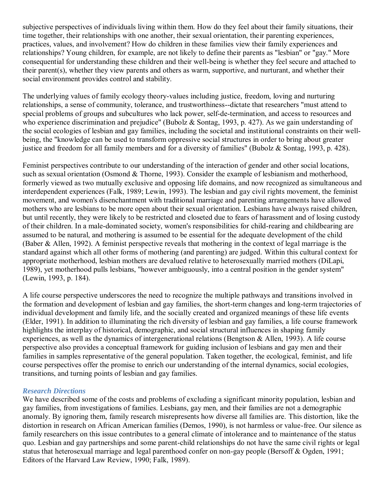subjective perspectives of individuals living within them. How do they feel about their family situations, their time together, their relationships with one another, their sexual orientation, their parenting experiences, practices, values, and involvement? How do children in these families view their family experiences and relationships? Young children, for example, are not likely to define their parents as "lesbian" or "gay." More consequential for understanding these children and their well-being is whether they feel secure and attached to their parent(s), whether they view parents and others as warm, supportive, and nurturant, and whether their social environment provides control and stability.

The underlying values of family ecology theory-values including justice, freedom, loving and nurturing relationships, a sense of community, tolerance, and trustworthiness--dictate that researchers "must attend to special problems of groups and subcultures who lack power, self-de-termination, and access to resources and who experience discrimination and prejudice" (Bubolz & Sontag, 1993, p. 427). As we gain understanding of the social ecologies of lesbian and gay families, including the societal and institutional constraints on their wellbeing, the "knowledge can be used to transform oppressive social structures in order to bring about greater justice and freedom for all family members and for a diversity of families" (Bubolz & Sontag, 1993, p. 428).

Feminist perspectives contribute to our understanding of the interaction of gender and other social locations, such as sexual orientation (Osmond & Thorne, 1993). Consider the example of lesbianism and motherhood, formerly viewed as two mutually exclusive and opposing life domains, and now recognized as simultaneous and interdependent experiences (Falk, 1989; Lewin, 1993). The lesbian and gay civil rights movement, the feminist movement, and women's disenchantment with traditional marriage and parenting arrangements have allowed mothers who are lesbians to be more open about their sexual orientation. Lesbians have always raised children, but until recently, they were likely to be restricted and closeted due to fears of harassment and of losing custody of their children. In a male-dominated society, women's responsibilities for child-rearing and childbearing are assumed to be natural, and mothering is assumed to be essential for the adequate development of the child (Baber & Allen, 1992). A feminist perspective reveals that mothering in the context of legal marriage is the standard against which all other forms of mothering (and parenting) are judged. Within this cultural context for appropriate motherhood, lesbian mothers are devalued relative to heterosexually married mothers (DiLapi, 1989), yet motherhood pulls lesbians, "however ambiguously, into a central position in the gender system" (Lewin, 1993, p. 184).

A life course perspective underscores the need to recognize the multiple pathways and transitions involved in the formation and development of lesbian and gay families, the short-term changes and long-term trajectories of individual development and family life, and the socially created and organized meanings of these life events (Elder, 1991). In addition to illuminating the rich diversity of lesbian and gay families, a life course framework highlights the interplay of historical, demographic, and social structural influences in shaping family experiences, as well as the dynamics of intergenerational relations (Bengtson & Allen, 1993). A life course perspective also provides a conceptual framework for guiding inclusion of lesbians and gay men and their families in samples representative of the general population. Taken together, the ecological, feminist, and life course perspectives offer the promise to enrich our understanding of the internal dynamics, social ecologies, transitions, and turning points of lesbian and gay families.

# *Research Directions*

We have described some of the costs and problems of excluding a significant minority population, lesbian and gay families, from investigations of families. Lesbians, gay men, and their families are not a demographic anomaly. By ignoring them, family research misrepresents how diverse all families are. This distortion, like the distortion in research on African American families (Demos, 1990), is not harmless or value-free. Our silence as family researchers on this issue contributes to a general climate of intolerance and to maintenance of the status quo. Lesbian and gay partnerships and some parent-child relationships do not have the same civil rights or legal status that heterosexual marriage and legal parenthood confer on non-gay people (Bersoff & Ogden, 1991; Editors of the Harvard Law Review, 1990; Falk, 1989).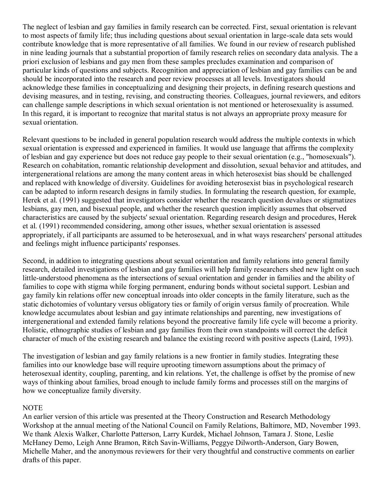The neglect of lesbian and gay families in family research can be corrected. First, sexual orientation is relevant to most aspects of family life; thus including questions about sexual orientation in large-scale data sets would contribute knowledge that is more representative of all families. We found in our review of research published in nine leading journals that a substantial proportion of family research relies on secondary data analysis. The a priori exclusion of lesbians and gay men from these samples precludes examination and comparison of particular kinds of questions and subjects. Recognition and appreciation of lesbian and gay families can be and should be incorporated into the research and peer review processes at all levels. Investigators should acknowledge these families in conceptualizing and designing their projects, in defining research questions and devising measures, and in testing, revising, and constructing theories. Colleagues, journal reviewers, and editors can challenge sample descriptions in which sexual orientation is not mentioned or heterosexuality is assumed. In this regard, it is important to recognize that marital status is not always an appropriate proxy measure for sexual orientation.

Relevant questions to be included in general population research would address the multiple contexts in which sexual orientation is expressed and experienced in families. It would use language that affirms the complexity of lesbian and gay experience but does not reduce gay people to their sexual orientation (e.g., "homosexuals"). Research on cohabitation, romantic relationship development and dissolution, sexual behavior and attitudes, and intergenerational relations are among the many content areas in which heterosexist bias should be challenged and replaced with knowledge of diversity. Guidelines for avoiding heterosexist bias in psychological research can be adapted to inform research designs in family studies. In formulating the research question, for example, Herek et al. (1991) suggested that investigators consider whether the research question devalues or stigmatizes lesbians, gay men, and bisexual people, and whether the research question implicitly assumes that observed characteristics are caused by the subjects' sexual orientation. Regarding research design and procedures, Herek et al. (1991) recommended considering, among other issues, whether sexual orientation is assessed appropriately, if all participants are assumed to be heterosexual, and in what ways researchers' personal attitudes and feelings might influence participants' responses.

Second, in addition to integrating questions about sexual orientation and family relations into general family research, detailed investigations of lesbian and gay families will help family researchers shed new light on such little-understood phenomena as the intersections of sexual orientation and gender in families and the ability of families to cope with stigma while forging permanent, enduring bonds without societal support. Lesbian and gay family kin relations offer new conceptual inroads into older concepts in the family literature, such as the static dichotomies of voluntary versus obligatory ties or family of origin versus family of procreation. While knowledge accumulates about lesbian and gay intimate relationships and parenting, new investigations of intergenerational and extended family relations beyond the procreative family life cycle will become a priority. Holistic, ethnographic studies of lesbian and gay families from their own standpoints will correct the deficit character of much of the existing research and balance the existing record with positive aspects (Laird, 1993).

The investigation of lesbian and gay family relations is a new frontier in family studies. Integrating these families into our knowledge base will require uprooting timeworn assumptions about the primacy of heterosexual identity, coupling, parenting, and kin relations. Yet, the challenge is offset by the promise of new ways of thinking about families, broad enough to include family forms and processes still on the margins of how we conceptualize family diversity.

# **NOTE**

An earlier version of this article was presented at the Theory Construction and Research Methodology Workshop at the annual meeting of the National Council on Family Relations, Baltimore, MD, November 1993. We thank Alexis Walker, Charlotte Patterson, Larry Kurdek, Michael Johnson, Tamara J. Stone, Leslie McHaney Demo, Leigh Anne Bramon, Ritch Savin-Williams, Peggye Dilworth-Anderson, Gary Bowen, Michelle Maher, and the anonymous reviewers for their very thoughtful and constructive comments on earlier drafts of this paper.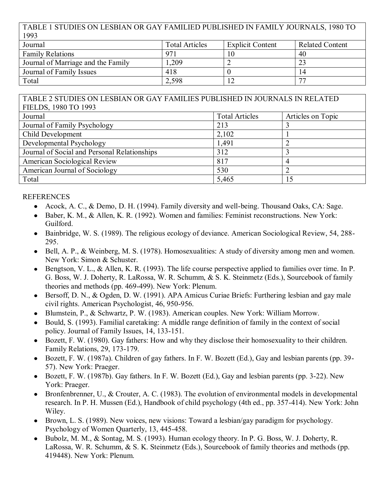TABLE 1 STUDIES ON LESBIAN OR GAY FAMILIED PUBLISHED IN FAMILY JOURNALS, 1980 TO 1993

| Journal                            | <b>Total Articles</b> | <b>Explicit Content</b> | <b>Related Content</b> |
|------------------------------------|-----------------------|-------------------------|------------------------|
| <b>Family Relations</b>            | 97                    | 10                      | 40                     |
| Journal of Marriage and the Family | .209                  |                         |                        |
| Journal of Family Issues           | 418                   |                         |                        |
| Total                              | 2.598                 |                         |                        |

#### TABLE 2 STUDIES ON LESBIAN OR GAY FAMILIES PUBLISHED IN JOURNALS IN RELATED FIELDS, 1980 TO 1993

| 1111110, 1700 TO 1775                        |                       |                   |  |
|----------------------------------------------|-----------------------|-------------------|--|
| Journal                                      | <b>Total Articles</b> | Articles on Topic |  |
| Journal of Family Psychology                 | 213                   |                   |  |
| Child Development                            | 2,102                 |                   |  |
| Developmental Psychology                     | 1,491                 |                   |  |
| Journal of Social and Personal Relationships | 312                   |                   |  |
| American Sociological Review                 | 817                   |                   |  |
| American Journal of Sociology                | 530                   |                   |  |
| Total                                        | 5,465                 |                   |  |

# **REFERENCES**

- Acock, A. C., & Demo, D. H. (1994). Family diversity and well-being. Thousand Oaks, CA: Sage.
- Baber, K. M., & Allen, K. R. (1992). Women and families: Feminist reconstructions. New York: Guilford.
- Bainbridge, W. S. (1989). The religious ecology of deviance. American Sociological Review, 54, 288- 295.
- Bell, A. P., & Weinberg, M. S. (1978). Homosexualities: A study of diversity among men and women. New York: Simon & Schuster.
- Bengtson, V. L., & Allen, K. R. (1993). The life course perspective applied to families over time. In P. G. Boss, W. J. Doherty, R. LaRossa, W. R. Schumm, & S. K. Steinmetz (Eds.), Sourcebook of family theories and methods (pp. 469-499). New York: Plenum.
- Bersoff, D. N., & Ogden, D. W. (1991). APA Amicus Curiae Briefs: Furthering lesbian and gay male civil rights. American Psychologist, 46, 950-956.
- Blumstein, P., & Schwartz, P. W. (1983). American couples. New York: William Morrow.  $\bullet$
- Bould, S. (1993). Familial caretaking: A middle range definition of family in the context of social  $\bullet$ policy. Journal of Family Issues, 14, 133-151.
- Bozett, F. W. (1980). Gay fathers: How and why they disclose their homosexuality to their children. Family Relations, 29, 173-179.
- Bozett, F. W. (1987a). Children of gay fathers. In F. W. Bozett (Ed.), Gay and lesbian parents (pp. 39- 57). New York: Praeger.
- Bozett, F. W. (1987b). Gay fathers. In F. W. Bozett (Ed.), Gay and lesbian parents (pp. 3-22). New York: Praeger.
- $\bullet$  Bronfenbrenner, U., & Crouter, A. C. (1983). The evolution of environmental models in developmental research. In P. H. Mussen (Ed.), Handbook of child psychology (4th ed., pp. 357-414). New York: John Wiley.
- Brown, L. S. (1989). New voices, new visions: Toward a lesbian/gay paradigm for psychology. Psychology of Women Quarterly, 13, 445-458.
- Bubolz, M. M., & Sontag, M. S. (1993). Human ecology theory. In P. G. Boss, W. J. Doherty, R. LaRossa, W. R. Schumm, & S. K. Steinmetz (Eds.), Sourcebook of family theories and methods (pp. 419448). New York: Plenum.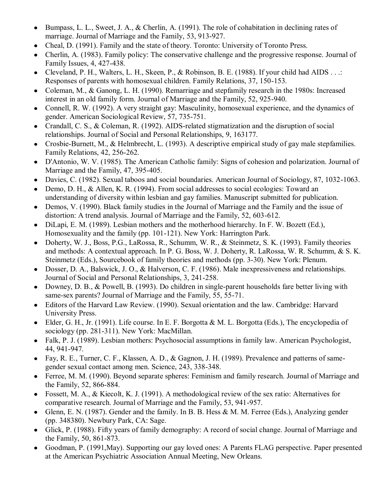- Bumpass, L. L., Sweet, J. A., & Cherlin, A. (1991). The role of cohabitation in declining rates of  $\bullet$ marriage. Journal of Marriage and the Family, 53, 913-927.
- Cheal, D. (1991). Family and the state of theory. Toronto: University of Toronto Press.
- Cherlin, A. (1983). Family policy: The conservative challenge and the progressive response. Journal of Family Issues, 4, 427-438.
- Cleveland, P. H., Walters, L. H., Skeen, P., & Robinson, B. E. (1988). If your child had AIDS . . .: Responses of parents with homosexual children. Family Relations, 37, 150-153.
- Coleman, M., & Ganong, L. H. (1990). Remarriage and stepfamily research in the 1980s: Increased  $\bullet$ interest in an old family form. Journal of Marriage and the Family, 52, 925-940.
- Connell, R. W. (1992). A very straight gay: Masculinity, homosexual experience, and the dynamics of  $\bullet$ gender. American Sociological Review, 57, 735-751.
- Crandall, C. S., & Coleman, R. (1992). AIDS-related stigmatization and the disruption of social  $\bullet$ relationships. Journal of Social and Personal Relationships, 9, 163177.
- Crosbie-Burnett, M., & Helmbrecht, L. (1993). A descriptive empirical study of gay male stepfamilies.  $\bullet$ Family Relations, 42, 256-262.
- D'Antonio, W. V. (1985). The American Catholic family: Signs of cohesion and polarization. Journal of Marriage and the Family, 47, 395-405.
- Davies, C. (1982). Sexual taboos and social boundaries. American Journal of Sociology, 87, 1032-1063.
- Demo, D. H., & Allen, K. R. (1994). From social addresses to social ecologies: Toward an  $\bullet$ understanding of diversity within lesbian and gay families. Manuscript submitted for publication.
- Demos, V. (1990). Black family studies in the Journal of Marriage and the Family and the issue of distortion: A trend analysis. Journal of Marriage and the Family, 52, 603-612.
- DiLapi, E. M. (1989). Lesbian mothers and the motherhood hierarchy. In F. W. Bozett (Ed.),  $\bullet$ Homosexuality and the family (pp. 101-121). New York: Harrington Park.
- Doherty, W. J., Boss, P.G., LaRossa, R., Schumm, W. R., & Steinmetz, S. K. (1993). Family theories  $\bullet$ and methods: A contextual approach. In P. G. Boss, W. J. Doherty, R. LaRossa, W. R. Schumm, & S. K. Steinmetz (Eds.), Sourcebook of family theories and methods (pp. 3-30). New York: Plenum.
- Dosser, D. A., Balswick, J. O., & Halverson, C. F. (1986). Male inexpressiveness and relationships.  $\bullet$ Journal of Social and Personal Relationships, 3, 241-258.
- Downey, D. B., & Powell, B. (1993). Do children in single-parent households fare better living with  $\bullet$ same-sex parents? Journal of Marriage and the Family, 55, 55-71.
- Editors of the Harvard Law Review. (1990). Sexual orientation and the law. Cambridge: Harvard  $\bullet$ University Press.
- Elder, G. H., Jr. (1991). Life course. In E. F. Borgotta & M. L. Borgotta (Eds.), The encyclopedia of  $\bullet$ sociology (pp. 281-311). New York: MacMillan.
- Falk, P. J. (1989). Lesbian mothers: Psychosocial assumptions in family law. American Psychologist,  $\bullet$ 44, 941-947.
- Fay, R. E., Turner, C. F., Klassen, A. D., & Gagnon, J. H. (1989). Prevalence and patterns of same- $\bullet$ gender sexual contact among men. Science, 243, 338-348.
- Ferree, M. M. (1990). Beyond separate spheres: Feminism and family research. Journal of Marriage and  $\bullet$ the Family, 52, 866-884.
- Fossett, M. A., & Kiecolt, K. J. (1991). A methodological review of the sex ratio: Alternatives for  $\bullet$ comparative research. Journal of Marriage and the Family, 53, 941-957.
- Glenn, E. N. (1987). Gender and the family. In B. B. Hess & M. M. Ferree (Eds.), Analyzing gender  $\bullet$ (pp. 348380). Newbury Park, CA: Sage.
- Glick, P. (1988). Fifty years of family demography: A record of social change. Journal of Marriage and  $\bullet$ the Family, 50, 861-873.
- Goodman, P. (1991,May). Supporting our gay loved ones: A Parents FLAG perspective. Paper presented  $\bullet$ at the American Psychiatric Association Annual Meeting, New Orleans.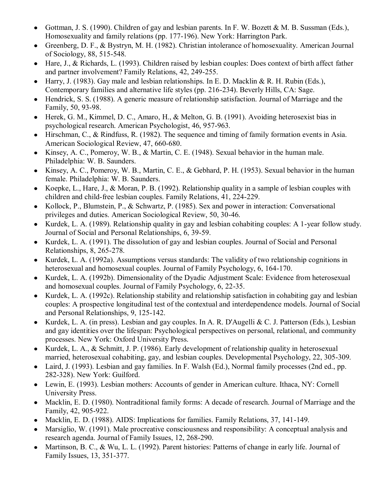- Gottman, J. S. (1990). Children of gay and lesbian parents. In F. W. Bozett & M. B. Sussman (Eds.),  $\bullet$ Homosexuality and family relations (pp. 177-196). New York: Harrington Park.
- Greenberg, D. F., & Bystryn, M. H. (1982). Christian intolerance of homosexuality. American Journal of Sociology, 88, 515-548.
- Hare, J., & Richards, L. (1993). Children raised by lesbian couples: Does context of birth affect father  $\bullet$ and partner involvement? Family Relations, 42, 249-255.
- Harry, J. (1983). Gay male and lesbian relationships. In E. D. Macklin & R. H. Rubin (Eds.),  $\bullet$ Contemporary families and alternative life styles (pp. 216-234). Beverly Hills, CA: Sage.
- Hendrick, S. S. (1988). A generic measure of relationship satisfaction. Journal of Marriage and the Family, 50, 93-98.
- Herek, G. M., Kimmel, D. C., Amaro, H., & Melton, G. B. (1991). Avoiding heterosexist bias in  $\bullet$ psychological research. American Psychologist, 46, 957-963.
- Hirschman, C., & Rindfuss, R. (1982). The sequence and timing of family formation events in Asia.  $\bullet$ American Sociological Review, 47, 660-680.
- Kinsey, A. C., Pomeroy, W. B., & Martin, C. E. (1948). Sexual behavior in the human male.  $\bullet$ Philadelphia: W. B. Saunders.
- Kinsey, A. C., Pomeroy, W. B., Martin, C. E., & Gebhard, P. H. (1953). Sexual behavior in the human female. Philadelphia: W. B. Saunders.
- Koepke, L., Hare, J., & Moran, P. B. (1992). Relationship quality in a sample of lesbian couples with  $\bullet$ children and child-free lesbian couples. Family Relations, 41, 224-229.
- Kollock, P., Blumstein, P., & Schwartz, P. (1985). Sex and power in interaction: Conversational privileges and duties. American Sociological Review, 50, 30-46.
- Kurdek, L. A. (1989). Relationship quality in gay and lesbian cohabiting couples: A 1-year follow study.  $\bullet$ Journal of Social and Personal Relationships, 6, 39-59.
- Kurdek, L. A. (1991). The dissolution of gay and lesbian couples. Journal of Social and Personal  $\bullet$ Relationships, 8, 265-278.
- Kurdek, L. A. (1992a). Assumptions versus standards: The validity of two relationship cognitions in heterosexual and homosexual couples. Journal of Family Psychology, 6, 164-170.
- Kurdek, L. A. (1992b). Dimensionality of the Dyadic Adjustment Scale: Evidence from heterosexual  $\bullet$ and homosexual couples. Journal of Family Psychology, 6, 22-35.
- Kurdek, L. A. (1992c). Relationship stability and relationship satisfaction in cohabiting gay and lesbian  $\bullet$ couples: A prospective longitudinal test of the contextual and interdependence models. Journal of Social and Personal Relationships, 9, 125-142.
- Kurdek, L. A. (in press). Lesbian and gay couples. In A. R. D'Augelli & C. J. Patterson (Eds.), Lesbian  $\bullet$ and gay identities over the lifespan: Psychological perspectives on personal, relational, and community processes. New York: Oxford University Press.
- Kurdek, L. A., & Schmitt, J. P. (1986). Early development of relationship quality in heterosexual  $\bullet$ married, heterosexual cohabiting, gay, and lesbian couples. Developmental Psychology, 22, 305-309.
- Laird, J. (1993). Lesbian and gay families. In F. Walsh (Ed.), Normal family processes (2nd ed., pp.  $\bullet$ 282-328). New York: Guilford.
- Lewin, E. (1993). Lesbian mothers: Accounts of gender in American culture. Ithaca, NY: Cornell  $\bullet$ University Press.
- Macklin, E. D. (1980). Nontraditional family forms: A decade of research. Journal of Marriage and the  $\bullet$ Family, 42, 905-922.
- Macklin, E. D. (1988). AIDS: Implications for families. Family Relations, 37, 141-149.  $\bullet$
- Marsiglio, W. (1991). Male procreative consciousness and responsibility: A conceptual analysis and  $\bullet$ research agenda. Journal of Family Issues, 12, 268-290.
- Martinson, B. C., & Wu, L. L. (1992). Parent histories: Patterns of change in early life. Journal of  $\bullet$ Family Issues, 13, 351-377.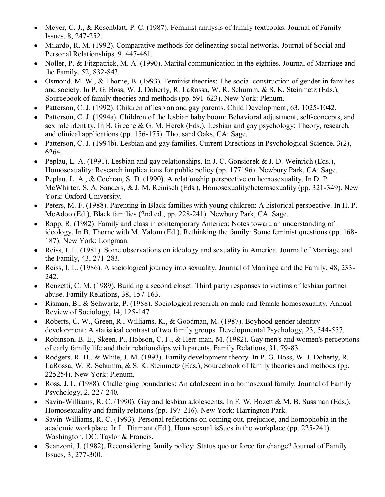- Meyer, C. J., & Rosenblatt, P. C. (1987). Feminist analysis of family textbooks. Journal of Family  $\bullet$ Issues, 8, 247-252.
- Milardo, R. M. (1992). Comparative methods for delineating social networks. Journal of Social and Personal Relationships, 9, 447-461.
- Noller, P. & Fitzpatrick, M. A. (1990). Marital communication in the eighties. Journal of Marriage and  $\bullet$ the Family, 52, 832-843.
- Osmond, M. W., & Thorne, B. (1993). Feminist theories: The social construction of gender in families  $\bullet$ and society. In P. G. Boss, W. J. Doherty, R. LaRossa, W. R. Schumm, & S. K. Steinmetz (Eds.), Sourcebook of family theories and methods (pp. 591-623). New York: Plenum.
- Patterson, C. J. (1992). Children of lesbian and gay parents. Child Development, 63, 1025-1042.  $\bullet$
- Patterson, C. J. (1994a). Children of the lesbian baby boom: Behavioral adjustment, self-concepts, and  $\bullet$ sex role identity. In B. Greene & G. M. Herek (Eds.), Lesbian and gay psychology: Theory, research, and clinical applications (pp. 156-175). Thousand Oaks, CA: Sage.
- Patterson, C. J. (1994b). Lesbian and gay families. Current Directions in Psychological Science, 3(2),  $\bullet$ 6264.
- Peplau, L. A. (1991). Lesbian and gay relationships. In J. C. Gonsiorek & J. D. Weinrich (Eds.),  $\bullet$ Homosexuality: Research implications for public policy (pp. 177196). Newbury Park, CA: Sage.
- Peplau, L. A., & Cochran, S. D. (1990). A relationship perspective on homosexuality. In D. P. McWhirter, S. A. Sanders, & J. M. Reinisch (Eds.), Homosexuality/heterosexuality (pp. 321-349). New York: Oxford University.
- Peters, M. F. (1988). Parenting in Black families with young children: A historical perspective. In H. P.  $\bullet$ McAdoo (Ed.), Black families (2nd ed., pp. 228-241). Newbury Park, CA: Sage.
- Rapp, R. (1982). Family and class in contemporary America: Notes toward an understanding of  $\bullet$ ideology. In B. Thorne with M. Yalom (Ed.), Rethinking the family: Some feminist questions (pp. 168- 187). New York: Longman.
- Reiss, I. L. (1981). Some observations on ideology and sexuality in America. Journal of Marriage and  $\bullet$ the Family, 43, 271-283.
- Reiss, I. L. (1986). A sociological journey into sexuality. Journal of Marriage and the Family, 48, 233-  $\bullet$ 242.
- Renzetti, C. M. (1989). Building a second closet: Third party responses to victims of lesbian partner  $\bullet$ abuse. Family Relations, 38, 157-163.
- Risman, B., & Schwartz, P. (1988). Sociological research on male and female homosexuality. Annual  $\bullet$ Review of Sociology, 14, 125-147.
- Roberts, C. W., Green, R., Williams, K., & Goodman, M. (1987). Boyhood gender identity  $\bullet$ development: A statistical contrast of two family groups. Developmental Psychology, 23, 544-557.
- Robinson, B. E., Skeen, P., Hobson, C. F., & Herr-man, M. (1982). Gay men's and women's perceptions of early family life and their relationships with parents. Family Relations, 31, 79-83.
- Rodgers, R. H., & White, J. M. (1993). Family development theory. In P. G. Boss, W. J. Doherty, R.  $\bullet$ LaRossa, W. R. Schumm, & S. K. Steinmetz (Eds.), Sourcebook of family theories and methods (pp. 225254). New York: Plenum.
- Ross, J. L. (1988). Challenging boundaries: An adolescent in a homosexual family. Journal of Family  $\bullet$ Psychology, 2, 227-240.
- Savin-Williams, R. C. (1990). Gay and lesbian adolescents. In F. W. Bozett & M. B. Sussman (Eds.),  $\bullet$ Homosexuality and family relations (pp. 197-216). New York: Harrington Park.
- Savin-Williams, R. C. (1993). Personal reflections on coming out, prejudice, and homophobia in the  $\bullet$ academic workplace. In L. Diamant (Ed.), Homosexual isSues in the workplace (pp. 225-241). Washington, DC: Taylor & Francis.
- Scanzoni, J. (1982). Reconsidering family policy: Status quo or force for change? Journal of Family  $\bullet$ Issues, 3, 277-300.